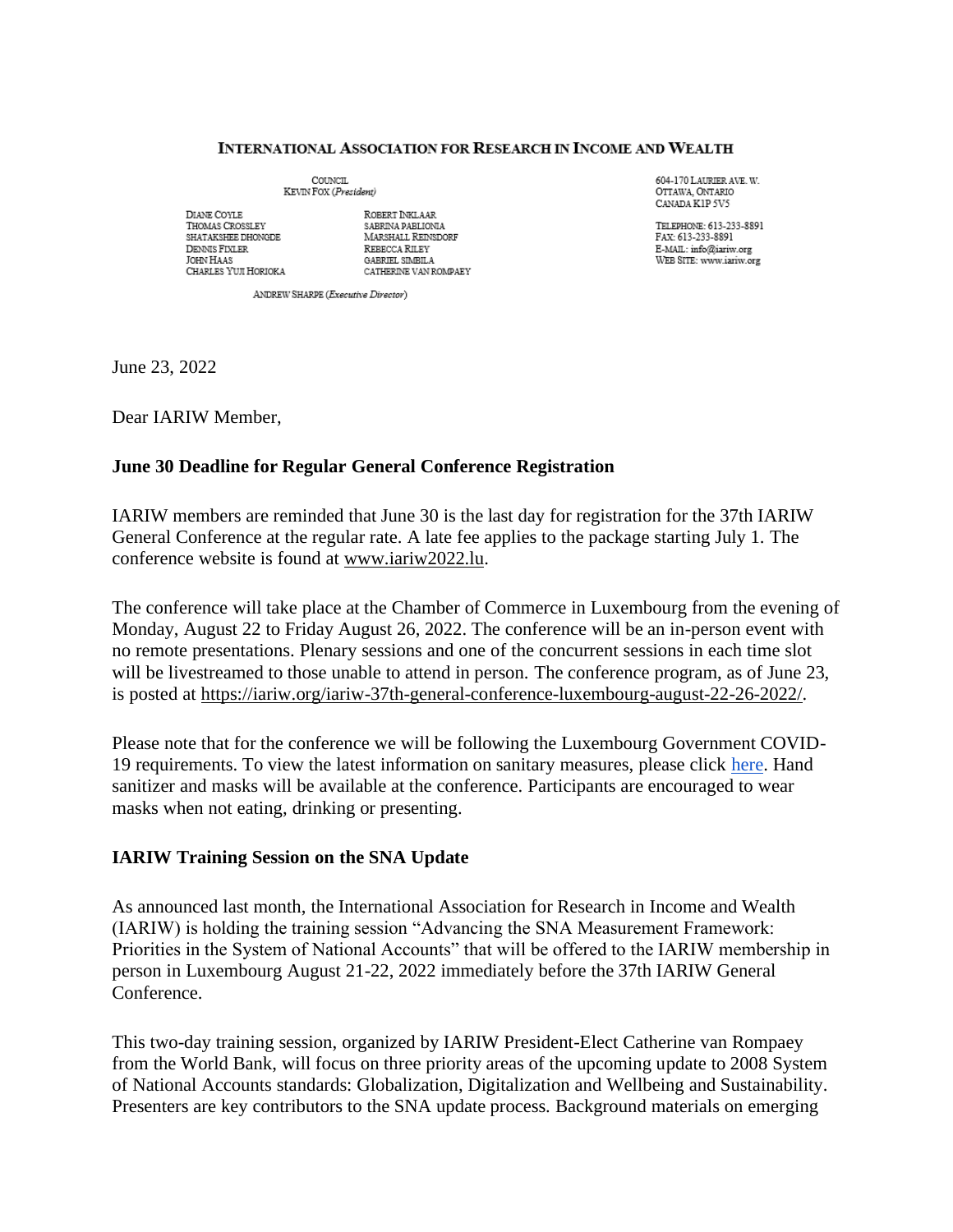#### **INTERNATIONAL ASSOCIATION FOR RESEARCH IN INCOME AND WEALTH**

COUNCIL KEVIN FOX (President)

DIANE COYLE THOMAS CROSSLEY SHATAKSHEE DHONGDE DENNIS FIXLER **JOHN HAAS** CHARLES YUJI HORIOKA

ROBERT INKLAAR SABRINA PABLIONIA MARSHALL REINSDORF **REBECCA RILEY** GABRIEL SIMBILA CATHERINE VAN ROMPAEY 604-170 LAURIER AVE. W. OTTAWA, ONTARIO CANADA KIP 5V5

TELEPHONE: 613-233-8891 FAX: 613-233-8891 E-MAIL: info@iariw.org WEB SITE: www.iariw.org

ANDREW SHARPE (Executive Director)

June 23, 2022

Dear IARIW Member,

## **June 30 Deadline for Regular General Conference Registration**

IARIW members are reminded that June 30 is the last day for registration for the 37th IARIW General Conference at the regular rate. A late fee applies to the package starting July 1. The conference website is found at [www.iariw2022.lu.](http://www.iariw2022.lu/)

The conference will take place at the Chamber of Commerce in Luxembourg from the evening of Monday, August 22 to Friday August 26, 2022. The conference will be an in-person event with no remote presentations. Plenary sessions and one of the concurrent sessions in each time slot will be livestreamed to those unable to attend in person. The conference program, as of June 23, is posted at [https://iariw.org/iariw-37th-general-conference-luxembourg-august-22-26-2022/.](https://iariw.org/iariw-37th-general-conference-luxembourg-august-22-26-2022/)

Please note that for the conference we will be following the Luxembourg Government COVID-19 requirements. To view the latest information on sanitary measures, please click [here.](https://covid19.public.lu/en/sanitary-measures.html) Hand sanitizer and masks will be available at the conference. Participants are encouraged to wear masks when not eating, drinking or presenting.

#### **IARIW Training Session on the SNA Update**

As announced last month, the International Association for Research in Income and Wealth (IARIW) is holding the training session "Advancing the SNA Measurement Framework: Priorities in the System of National Accounts" that will be offered to the IARIW membership in person in Luxembourg August 21-22, 2022 immediately before the 37th IARIW General Conference.

This two-day training session, organized by IARIW President-Elect Catherine van Rompaey from the World Bank, will focus on three priority areas of the upcoming update to 2008 System of National Accounts standards: Globalization, Digitalization and Wellbeing and Sustainability. Presenters are key contributors to the SNA update process. Background materials on emerging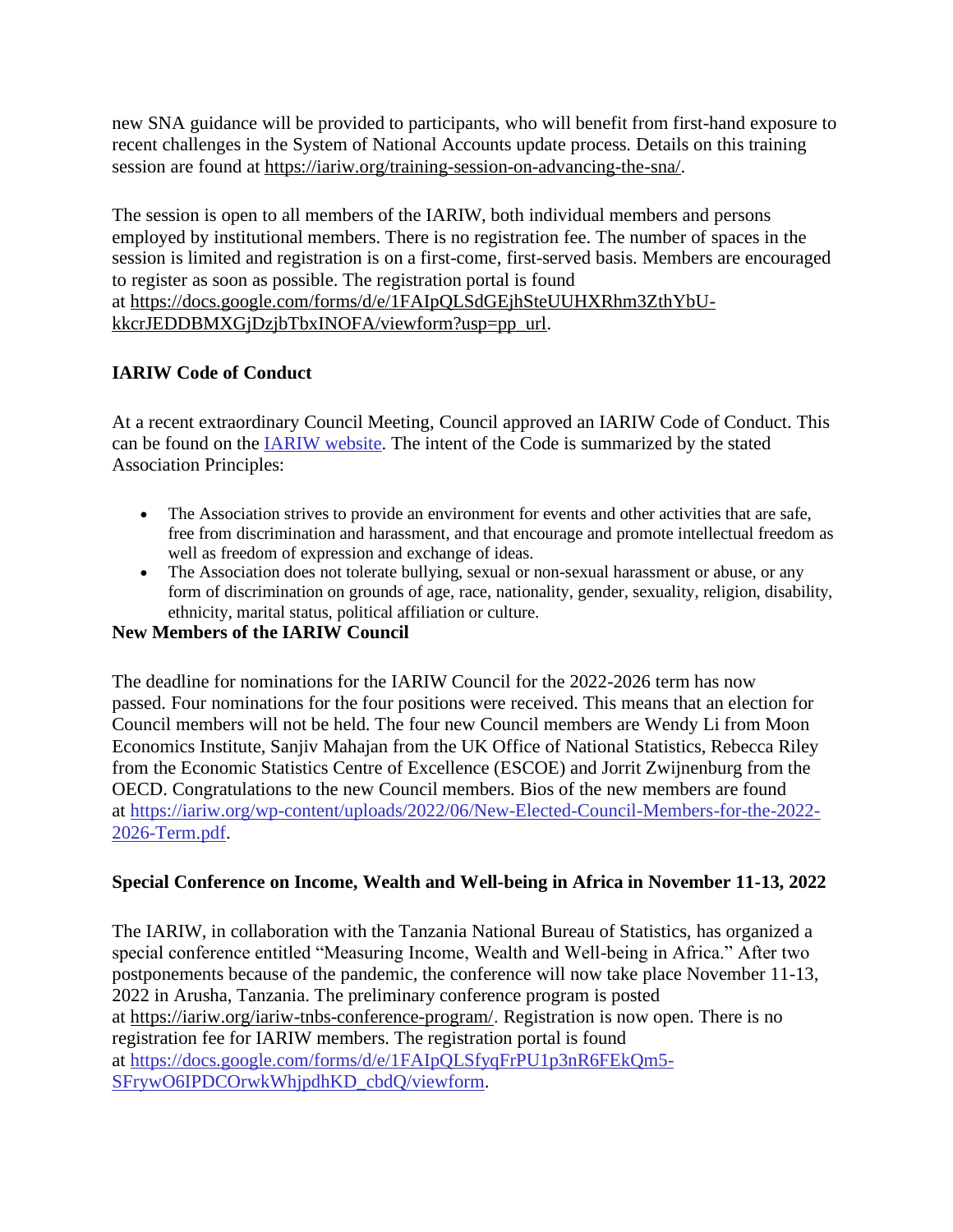new SNA guidance will be provided to participants, who will benefit from first-hand exposure to recent challenges in the System of National Accounts update process. Details on this training session are found at [https://iariw.org/training-session-on-advancing-the-sna/.](https://iariw.org/training-session-on-advancing-the-sna/)

The session is open to all members of the IARIW, both individual members and persons employed by institutional members. There is no registration fee. The number of spaces in the session is limited and registration is on a first-come, first-served basis. Members are encouraged to register as soon as possible. The registration portal is found at [https://docs.google.com/forms/d/e/1FAIpQLSdGEjhSteUUHXRhm3ZthYbU-](https://docs.google.com/forms/d/e/1FAIpQLSdGEjhSteUUHXRhm3ZthYbU-kkcrJEDDBMXGjDzjbTbxINOFA/viewform?usp=pp_url)

[kkcrJEDDBMXGjDzjbTbxINOFA/viewform?usp=pp\\_url.](https://docs.google.com/forms/d/e/1FAIpQLSdGEjhSteUUHXRhm3ZthYbU-kkcrJEDDBMXGjDzjbTbxINOFA/viewform?usp=pp_url)

# **IARIW Code of Conduct**

At a recent extraordinary Council Meeting, Council approved an IARIW Code of Conduct. This can be found on the [IARIW website.](https://iariw.org/wp-content/uploads/2022/06/IARIW-Code-of-Conduct-Signed.pdf) The intent of the Code is summarized by the stated Association Principles:

- The Association strives to provide an environment for events and other activities that are safe, free from discrimination and harassment, and that encourage and promote intellectual freedom as well as freedom of expression and exchange of ideas.
- The Association does not tolerate bullying, sexual or non-sexual harassment or abuse, or any form of discrimination on grounds of age, race, nationality, gender, sexuality, religion, disability, ethnicity, marital status, political affiliation or culture.

## **New Members of the IARIW Council**

The deadline for nominations for the IARIW Council for the 2022-2026 term has now passed. Four nominations for the four positions were received. This means that an election for Council members will not be held. The four new Council members are Wendy Li from Moon Economics Institute, Sanjiv Mahajan from the UK Office of National Statistics, Rebecca Riley from the Economic Statistics Centre of Excellence (ESCOE) and Jorrit Zwijnenburg from the OECD. Congratulations to the new Council members. Bios of the new members are found at [https://iariw.org/wp-content/uploads/2022/06/New-Elected-Council-Members-for-the-2022-](https://iariw.org/wp-content/uploads/2022/06/New-Elected-Council-Members-for-the-2022-2026-Term.pdf) [2026-Term.pdf.](https://iariw.org/wp-content/uploads/2022/06/New-Elected-Council-Members-for-the-2022-2026-Term.pdf)

## **Special Conference on Income, Wealth and Well-being in Africa in November 11-13, 2022**

The IARIW, in collaboration with the Tanzania National Bureau of Statistics, has organized a special conference entitled "Measuring Income, Wealth and Well-being in Africa." After two postponements because of the pandemic, the conference will now take place November 11-13, 2022 in Arusha, Tanzania. The preliminary conference program is posted at [https://iariw.org/iariw-tnbs-conference-program/.](https://iariw.org/iariw-tnbs-conference-program/) Registration is now open. There is no registration fee for IARIW members. The registration portal is found at [https://docs.google.com/forms/d/e/1FAIpQLSfyqFrPU1p3nR6FEkQm5-](https://docs.google.com/forms/d/e/1FAIpQLSfyqFrPU1p3nR6FEkQm5-SFrywO6IPDCOrwkWhjpdhKD_cbdQ/viewform) [SFrywO6IPDCOrwkWhjpdhKD\\_cbdQ/viewform.](https://docs.google.com/forms/d/e/1FAIpQLSfyqFrPU1p3nR6FEkQm5-SFrywO6IPDCOrwkWhjpdhKD_cbdQ/viewform)